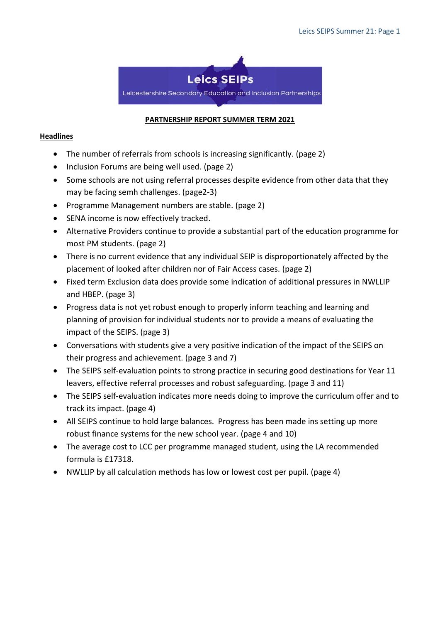

# **PARTNERSHIP REPORT SUMMER TERM 2021**

# **Headlines**

- The number of referrals from schools is increasing significantly. (page 2)
- Inclusion Forums are being well used. (page 2)
- Some schools are not using referral processes despite evidence from other data that they may be facing semh challenges. (page2-3)
- Programme Management numbers are stable. (page 2)
- SENA income is now effectively tracked.
- Alternative Providers continue to provide a substantial part of the education programme for most PM students. (page 2)
- There is no current evidence that any individual SEIP is disproportionately affected by the placement of looked after children nor of Fair Access cases. (page 2)
- Fixed term Exclusion data does provide some indication of additional pressures in NWLLIP and HBEP. (page 3)
- Progress data is not yet robust enough to properly inform teaching and learning and planning of provision for individual students nor to provide a means of evaluating the impact of the SEIPS. (page 3)
- Conversations with students give a very positive indication of the impact of the SEIPS on their progress and achievement. (page 3 and 7)
- The SEIPS self-evaluation points to strong practice in securing good destinations for Year 11 leavers, effective referral processes and robust safeguarding. (page 3 and 11)
- The SEIPS self-evaluation indicates more needs doing to improve the curriculum offer and to track its impact. (page 4)
- All SEIPS continue to hold large balances. Progress has been made ins setting up more robust finance systems for the new school year. (page 4 and 10)
- The average cost to LCC per programme managed student, using the LA recommended formula is £17318.
- NWLLIP by all calculation methods has low or lowest cost per pupil. (page 4)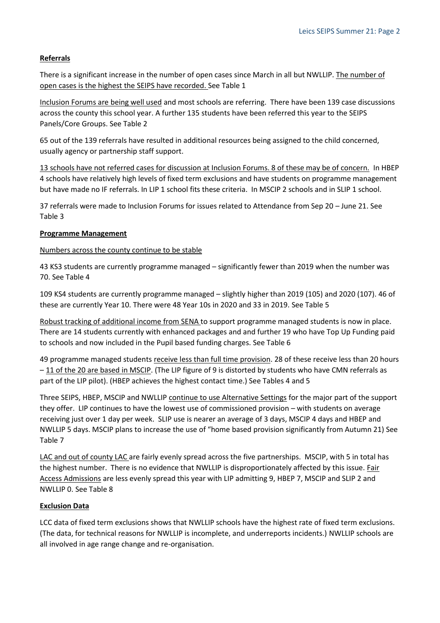# **Referrals**

There is a significant increase in the number of open cases since March in all but NWLLIP. The number of open cases is the highest the SEIPS have recorded. See Table 1

Inclusion Forums are being well used and most schools are referring. There have been 139 case discussions across the county this school year. A further 135 students have been referred this year to the SEIPS Panels/Core Groups. See Table 2

65 out of the 139 referrals have resulted in additional resources being assigned to the child concerned, usually agency or partnership staff support.

13 schools have not referred cases for discussion at Inclusion Forums. 8 of these may be of concern. In HBEP 4 schools have relatively high levels of fixed term exclusions and have students on programme management but have made no IF referrals. In LIP 1 school fits these criteria. In MSCIP 2 schools and in SLIP 1 school.

37 referrals were made to Inclusion Forums for issues related to Attendance from Sep 20 – June 21. See Table 3

## **Programme Management**

## Numbers across the county continue to be stable

43 KS3 students are currently programme managed – significantly fewer than 2019 when the number was 70. See Table 4

109 KS4 students are currently programme managed – slightly higher than 2019 (105) and 2020 (107). 46 of these are currently Year 10. There were 48 Year 10s in 2020 and 33 in 2019. See Table 5

Robust tracking of additional income from SENA to support programme managed students is now in place. There are 14 students currently with enhanced packages and and further 19 who have Top Up Funding paid to schools and now included in the Pupil based funding charges. See Table 6

49 programme managed students receive less than full time provision. 28 of these receive less than 20 hours – 11 of the 20 are based in MSCIP. (The LIP figure of 9 is distorted by students who have CMN referrals as part of the LIP pilot). (HBEP achieves the highest contact time.) See Tables 4 and 5

Three SEIPS, HBEP, MSCIP and NWLLIP continue to use Alternative Settings for the major part of the support they offer. LIP continues to have the lowest use of commissioned provision – with students on average receiving just over 1 day per week. SLIP use is nearer an average of 3 days, MSCIP 4 days and HBEP and NWLLIP 5 days. MSCIP plans to increase the use of "home based provision significantly from Autumn 21) See Table 7

LAC and out of county LAC are fairly evenly spread across the five partnerships. MSCIP, with 5 in total has the highest number. There is no evidence that NWLLIP is disproportionately affected by this issue. Fair Access Admissions are less evenly spread this year with LIP admitting 9, HBEP 7, MSCIP and SLIP 2 and NWLLIP 0. See Table 8

# **Exclusion Data**

LCC data of fixed term exclusions shows that NWLLIP schools have the highest rate of fixed term exclusions. (The data, for technical reasons for NWLLIP is incomplete, and underreports incidents.) NWLLIP schools are all involved in age range change and re-organisation.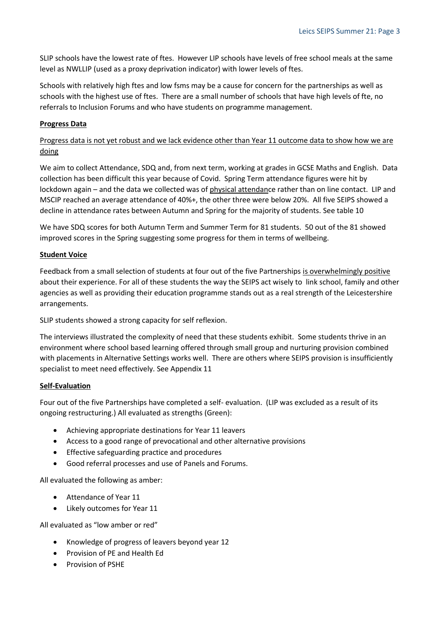SLIP schools have the lowest rate of ftes. However LIP schools have levels of free school meals at the same level as NWLLIP (used as a proxy deprivation indicator) with lower levels of ftes.

Schools with relatively high ftes and low fsms may be a cause for concern for the partnerships as well as schools with the highest use of ftes. There are a small number of schools that have high levels of fte, no referrals to Inclusion Forums and who have students on programme management.

# **Progress Data**

Progress data is not yet robust and we lack evidence other than Year 11 outcome data to show how we are doing

We aim to collect Attendance, SDQ and, from next term, working at grades in GCSE Maths and English. Data collection has been difficult this year because of Covid. Spring Term attendance figures were hit by lockdown again – and the data we collected was of physical attendance rather than on line contact. LIP and MSCIP reached an average attendance of 40%+, the other three were below 20%. All five SEIPS showed a decline in attendance rates between Autumn and Spring for the majority of students. See table 10

We have SDQ scores for both Autumn Term and Summer Term for 81 students. 50 out of the 81 showed improved scores in the Spring suggesting some progress for them in terms of wellbeing.

# **Student Voice**

Feedback from a small selection of students at four out of the five Partnerships is overwhelmingly positive about their experience. For all of these students the way the SEIPS act wisely to link school, family and other agencies as well as providing their education programme stands out as a real strength of the Leicestershire arrangements.

SLIP students showed a strong capacity for self reflexion.

The interviews illustrated the complexity of need that these students exhibit. Some students thrive in an environment where school based learning offered through small group and nurturing provision combined with placements in Alternative Settings works well. There are others where SEIPS provision is insufficiently specialist to meet need effectively. See Appendix 11

# **Self-Evaluation**

Four out of the five Partnerships have completed a self- evaluation. (LIP was excluded as a result of its ongoing restructuring.) All evaluated as strengths (Green):

- Achieving appropriate destinations for Year 11 leavers
- Access to a good range of prevocational and other alternative provisions
- Effective safeguarding practice and procedures
- Good referral processes and use of Panels and Forums.

All evaluated the following as amber:

- Attendance of Year 11
- Likely outcomes for Year 11

All evaluated as "low amber or red"

- Knowledge of progress of leavers beyond year 12
- Provision of PE and Health Ed
- Provision of PSHE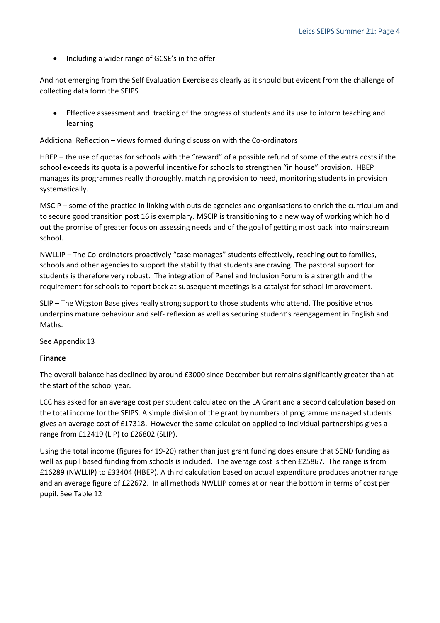• Including a wider range of GCSE's in the offer

And not emerging from the Self Evaluation Exercise as clearly as it should but evident from the challenge of collecting data form the SEIPS

• Effective assessment and tracking of the progress of students and its use to inform teaching and learning

Additional Reflection – views formed during discussion with the Co-ordinators

HBEP – the use of quotas for schools with the "reward" of a possible refund of some of the extra costs if the school exceeds its quota is a powerful incentive for schools to strengthen "in house" provision. HBEP manages its programmes really thoroughly, matching provision to need, monitoring students in provision systematically.

MSCIP – some of the practice in linking with outside agencies and organisations to enrich the curriculum and to secure good transition post 16 is exemplary. MSCIP is transitioning to a new way of working which hold out the promise of greater focus on assessing needs and of the goal of getting most back into mainstream school.

NWLLIP – The Co-ordinators proactively "case manages" students effectively, reaching out to families, schools and other agencies to support the stability that students are craving. The pastoral support for students is therefore very robust. The integration of Panel and Inclusion Forum is a strength and the requirement for schools to report back at subsequent meetings is a catalyst for school improvement.

SLIP – The Wigston Base gives really strong support to those students who attend. The positive ethos underpins mature behaviour and self- reflexion as well as securing student's reengagement in English and Maths.

See Appendix 13

#### **Finance**

The overall balance has declined by around £3000 since December but remains significantly greater than at the start of the school year.

LCC has asked for an average cost per student calculated on the LA Grant and a second calculation based on the total income for the SEIPS. A simple division of the grant by numbers of programme managed students gives an average cost of £17318. However the same calculation applied to individual partnerships gives a range from £12419 (LIP) to £26802 (SLIP).

Using the total income (figures for 19-20) rather than just grant funding does ensure that SEND funding as well as pupil based funding from schools is included. The average cost is then £25867. The range is from £16289 (NWLLIP) to £33404 (HBEP). A third calculation based on actual expenditure produces another range and an average figure of £22672. In all methods NWLLIP comes at or near the bottom in terms of cost per pupil. See Table 12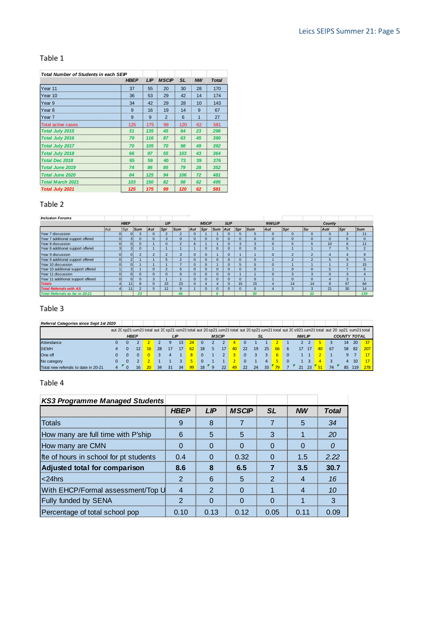| Total Number of Students in each SEIP |             |            |                |           |           |              |
|---------------------------------------|-------------|------------|----------------|-----------|-----------|--------------|
|                                       | <b>HBEP</b> | <b>LIP</b> | <b>MSCIP</b>   | <b>SL</b> | <b>NW</b> | <b>Total</b> |
| Year 11                               | 37          | 55         | 20             | 30        | 28        | 170          |
| Year 10                               | 36          | 53         | 29             | 42        | 14        | 174          |
| lYear 9                               | 34          | 42         | 29             | 28        | 10        | 143          |
| lYear 8                               | 9           | 16         | 19             | 14        | 9         | 67           |
| Year 7                                | 9           | 9          | $\overline{2}$ | 6         | 1         | 27           |
| Total active cases                    | 125         | 175        | 99             | 120       | 62        | 581          |
| <b>Total July 2015</b>                | 31          | 135        | 45             | 64        | 23        | 298          |
| <b>Total July 2016</b>                | 79          | 116        | 87             | 63        | 45        | 390          |
| <b>Total July 2017</b>                | 70          | 105        | 70             | 98        | 49        | 392          |
| <b>Total July 2018</b>                | 66          | 97         | 55             | 103       | 43        | 364          |
| Total Dec 2018                        | 65          | 59         | 40             | 73        | 39        | 276          |
| Total June 2019                       | 74          | 86         | 85             | 79        | 28        | 352          |
| <b>Total June 2020</b>                | 84          | 125        | 94             | 106       | 72        | 481          |
| <b>Total March 2021</b>               | 103         | 150        | 82             | 98        | 62        | 495          |
| Total July 2021                       | 125         | 175        | 99             | 120       | 62        | 581          |

## Table 2

| <b>Inclusion Forums</b>                |       |                              |                |                |            |                |     |              |                |             |     |                                                                                                                            |               |               |              |              |                 |     |
|----------------------------------------|-------|------------------------------|----------------|----------------|------------|----------------|-----|--------------|----------------|-------------|-----|----------------------------------------------------------------------------------------------------------------------------|---------------|---------------|--------------|--------------|-----------------|-----|
|                                        |       | <b>HBEP</b>                  |                |                | LIP        |                |     | <b>MSCIP</b> |                | <b>SLIP</b> |     |                                                                                                                            | <b>NWLLIP</b> |               |              | County       |                 |     |
|                                        | l Aut | Spr                          | Sum            | Aut            | <b>Spr</b> | Sum            | Aut | Spr          | $\mathsf{Sum}$ | $A$ ut      | Spr | Sum                                                                                                                        | Aut           | Spr           | Su           | Autr         | Spr             | Sum |
| Year 7 discussion                      |       | $\mathbf{0}$<br>--           | 3              |                |            |                |     |              |                |             | 5   | 5                                                                                                                          | $\Omega$      |               |              |              | 3               |     |
| Year 7 additional support offered      |       | 0<br>3                       | $\Omega$       |                |            |                |     | $\Omega$     |                | Ю           |     | $\Omega$                                                                                                                   | $\Omega$      |               |              |              | h               |     |
| Year 8 discussion                      |       | $\mathbf{0}$<br>$\mathbf{0}$ | $\Omega$       |                | $\Omega$   |                | 6   |              |                | $\sqrt{ }$  | 3   | 3                                                                                                                          | $\Omega$      | 5             | ю            | 10           | b.              |     |
| Year 8 additional support offered      |       | 31<br>$\overline{3}$         | $\Omega$       |                |            |                |     | $\Omega$     |                | $\sqrt{ }$  | 0   | $\Omega$                                                                                                                   |               |               |              |              | 5               |     |
| Year 9 discussion                      |       | 0                            | $\overline{ }$ | $\sim$         | $\Omega$   | 3              | 0   | $\Omega$     |                | $\epsilon$  |     |                                                                                                                            | $\Omega$      | $\Omega$      | $\sim$       |              |                 |     |
| Year 9 additional support offered      |       | 0ì<br>$2^{\frac{1}{2}}$      |                |                | 5          | $\overline{2}$ |     | $\Omega$     |                | $\sqrt{ }$  |     | $\Omega$                                                                                                                   |               | $\mathcal{P}$ | $\sim$       |              | 9               |     |
| Year 10 discussion                     |       | Ωĺ<br>$\Omega$               |                |                |            |                |     | $\Omega$     |                | c           | 5   | $5\overline{5}$                                                                                                            | $\Omega$      |               |              |              |                 | 15  |
| Year 10 additional support offered     |       | 3                            |                | $\Omega$       | c          |                |     | $\Omega$     |                |             |     | $\Omega$                                                                                                                   |               | $\Omega$      |              |              |                 |     |
| Year 11 discussion                     |       | $\Omega$<br>$\Omega$         | $\Omega$       | $\Omega$       | $\Omega$   |                |     | $\Omega$     |                |             |     |                                                                                                                            | $\Omega$      | 3             | $\sim$<br>-3 | <sup>n</sup> | $\sqrt{2}$<br>м |     |
| Year 11 additional support offered     |       | ۵ŝ                           | $\Omega$       | $\overline{ }$ |            |                |     | $\Omega$     |                |             |     | $\Omega$<br>and the state of the state of the state of the state of the state of the state of the state of the state of th |               |               |              |              | $\sqrt{2}$      |     |
| <b>Totals</b>                          |       |                              | 8              | $\Omega$       | 23         | 23             |     |              |                |             | 15  | 15<br><b>CARD OF</b>                                                                                                       |               | 14            | 14           | 8            | 67              | 64  |
| <b>Total Referrals with AS</b>         |       | 11<br>43                     | $\overline{ }$ | 5              | 12         | $\mathbf c$    |     | $\Omega$     |                |             |     | $\Omega$                                                                                                                   | 4             | з             | з            | 21           | 30 <sup>°</sup> | 14  |
| <b>Total Referrals so far in 20-21</b> |       |                              | 23             |                |            | 46             |     |              | R              |             |     | 30                                                                                                                         |               |               | 32           |              |                 | 139 |

## Table 3

| Referral Categories since Sept 1st 2020 |  |             |    |     |    |    |    |          |              |              |    |    |    |    |             |              |    |     |                                                                                                                                                 |                     |     |     |
|-----------------------------------------|--|-------------|----|-----|----|----|----|----------|--------------|--------------|----|----|----|----|-------------|--------------|----|-----|-------------------------------------------------------------------------------------------------------------------------------------------------|---------------------|-----|-----|
|                                         |  |             |    |     |    |    |    |          |              |              |    |    |    |    |             |              |    |     | aut 20 sp21 sum21 total aut 20 sp21 sum21 total aut 20 sp21 sum21 total aut 20 sp21 sum21 total aut 20 s921 sum21 total aut 20 sp21 sum21 total |                     |     |     |
|                                         |  | <b>HBEP</b> |    | LIP |    |    |    |          | <b>MSCIP</b> |              |    | SL |    |    |             | <b>NWLIP</b> |    |     |                                                                                                                                                 | <b>COUNTY TOTAL</b> |     |     |
| Attendance                              |  |             |    |     | 13 | 24 |    |          |              |              |    |    |    |    |             |              |    |     |                                                                                                                                                 | 14                  | 20  | 37  |
| <b>SEMH</b>                             |  | 12          | 28 | 17  |    | 62 | 18 |          | 17           | $\mathbf{a}$ | 22 | 19 | 25 | 66 | $\mathbf b$ |              | 17 | 40. | 67                                                                                                                                              | 58                  | 82  | 207 |
| One off                                 |  |             |    |     |    |    |    |          |              |              |    |    |    |    |             |              |    |     |                                                                                                                                                 |                     |     | 17  |
| No category                             |  |             |    |     |    |    |    |          |              |              |    |    |    |    |             |              |    |     |                                                                                                                                                 | Δ                   | 10  | 17  |
| Total new referrals to date in 20-21    |  | 16          | 34 | 31  | 34 | 99 | 18 | $\alpha$ | 22           |              | 22 | 24 | 33 |    |             |              | つつ |     |                                                                                                                                                 | 85                  | 119 | 278 |

## Table 4

| <b>KS3 Programme Managed Students</b>  |             |            |              |           |           |              |
|----------------------------------------|-------------|------------|--------------|-----------|-----------|--------------|
|                                        | <b>HBEP</b> | <b>LIP</b> | <b>MSCIP</b> | <b>SL</b> | <b>NW</b> | <b>Total</b> |
| <b>Totals</b>                          | O           | ጸ          |              |           | ҕ         | 34           |
| How many are full time with P'ship     |             | 5          |              |           |           | 20           |
| How many are CMN                       |             |            |              |           |           |              |
| fte of hours in school for pt students | $\Omega$ 4  |            | 0.32         |           | 15        | 222          |
| Adjusted total for comparison          | 8.6         | я          | ճ 5          |           | 35        |              |
| ∠24hrs                                 |             |            |              |           |           |              |
| With EHCP/Formal assessment/Top U      |             | ◠          |              |           |           |              |
| Fully funded by SENA                   | ◠           |            |              |           |           |              |
| Percentage of total school pop         | 0.10        | 0.13       | 0.12         | 0.05      | 0.11      |              |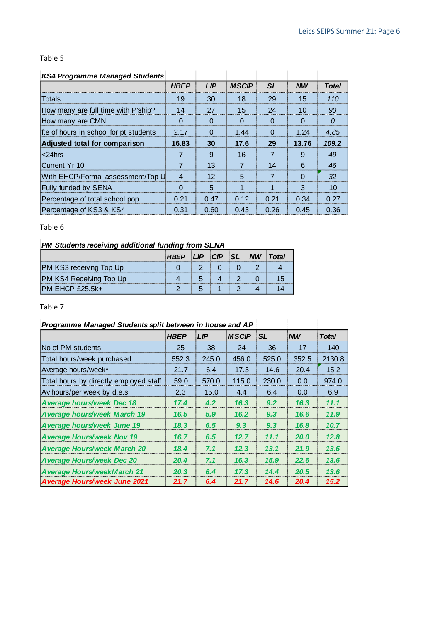| <b>KS4 Programme Managed Students</b>   |             |            |              |           |           |              |
|-----------------------------------------|-------------|------------|--------------|-----------|-----------|--------------|
|                                         | <b>HBEP</b> | <b>LIP</b> | <b>MSCIP</b> | <b>SL</b> | <b>NW</b> | <b>Total</b> |
| Totals                                  | 19          | 30         | 18           | 29        | 15        | 110          |
| How many are full time with P'ship?     | 14          | 27         | 15           | 24        | 10        | 90           |
| How many are CMN                        | $\Omega$    | $\Omega$   | $\Omega$     | O         | $\Omega$  | $\Omega$     |
| Ifte of hours in school for pt students | 2 17        | $\Omega$   | 1.44         | $\Omega$  | 124       | 4.85         |
| <b>Adjusted total for comparison</b>    | 16.83       | 30         | 17.6         | 29        | 13.76     | 109.2        |
| $<$ 24 $h$ rs                           |             | 9          | 16           |           | 9         | 49           |
| Current Yr 10                           |             | 13         |              | 14        | ิค        | 46           |
| With EHCP/Formal assessment/Top U       | 4           | 12         | 5            | 7         | ∩         | 32           |
| <b>Fully funded by SENA</b>             | ∩           | 5          |              |           | 3         | 10           |
| Percentage of total school pop          | 0.21        | 0.47       | 0.12         | 0.21      | 0.34      | 0.27         |
| Percentage of KS3 & KS4                 | 0.31        | 0.60       | 0.43         | 0.26      | 0.45      | 0.36         |

Table 6

# *M S PM Students receiving additional funding from SENA*

|                                | HRFP | <b>CIP</b> |  | ัดtal |
|--------------------------------|------|------------|--|-------|
| PM KS3 receiving Top Up        |      |            |  |       |
| <b>PM KS4 Receiving Top Up</b> |      |            |  |       |
| PM EHCP £25.5k+                |      |            |  |       |

Table 7

| Programme Managed Students split between in house and AP |             |       |              |       |           |              |  |  |  |  |  |
|----------------------------------------------------------|-------------|-------|--------------|-------|-----------|--------------|--|--|--|--|--|
|                                                          | <b>HBEP</b> | LIP   | <b>MSCIP</b> | ¦SL   | <b>NW</b> | <b>Total</b> |  |  |  |  |  |
| INo of PM students                                       | 25          | 38    | 24           | 36    | 17        | 140          |  |  |  |  |  |
| Total hours/week purchased                               | 552.3       | 245.0 | 456.0        | 525.0 | 352.5     | 2130.8       |  |  |  |  |  |
| Average hours/week*                                      | 21.7        | 6.4   | 17.3         | 14.6  | 20.4      | 15.2         |  |  |  |  |  |
| Total hours by directly employed staff                   | 59.0        | 570.0 | 115.0        | 230.0 | 0.0       | 974.0        |  |  |  |  |  |
| Av hours/per week by d.e.s                               | 2.3         | 15.0  | 4.4          | 6.4   | 0.0       | 6.9          |  |  |  |  |  |
| Average hours/week Dec 18                                | 17.4        | 4.2   | 16.3         | 9.2   | 16.3      | 11.1         |  |  |  |  |  |
| Average hours/week March 19                              | 16.5        | 5.9   | 16.2         | 9.3   | 16.6      | 11.9         |  |  |  |  |  |
| Average hours/week June 19                               | 18.3        | 6.5   | 9.3          | 9.3   | 16.8      | 10.7         |  |  |  |  |  |
| Average Hours/week Nov 19                                | 16.7        | 6.5   | 12.7         | 11.1  | 20.0      | 12.8         |  |  |  |  |  |
| Average Hours/week March 20                              | 18.4        | 7.1   | 12.3         | 13.1  | 21.9      | 13.6         |  |  |  |  |  |
| Average Hours/week Dec 20                                | 20.4        | 7.1   | 16.3         | 15.9  | 22.6      | 13.6         |  |  |  |  |  |
| Average Hours/weekMarch 21                               | 20.3        | 6.4   | 17.3         | 14.4  | 20.5      | 13.6         |  |  |  |  |  |
| A verage Hours/week June 2021                            | 21.7        | 6.4   | 21.7         | 14.6  | 20.4      | 15.2         |  |  |  |  |  |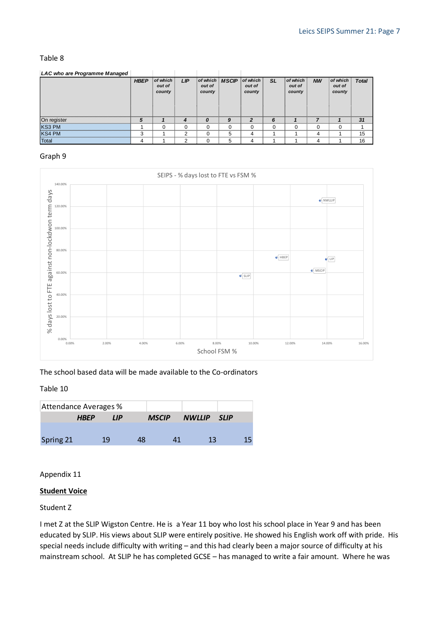| LAC who are Programme Managed |             |                              |     |                                    |   |                                      |           |                              |           |                              |              |
|-------------------------------|-------------|------------------------------|-----|------------------------------------|---|--------------------------------------|-----------|------------------------------|-----------|------------------------------|--------------|
|                               | <b>HBEP</b> | of which<br>out of<br>county | LIP | of which MSCIP<br>out of<br>county |   | of which $\vert$<br>out of<br>county | <b>SL</b> | of which<br>out of<br>county | <b>NW</b> | of which<br>out of<br>county | <b>Total</b> |
| On register                   |             |                              |     | 0                                  | 9 | ∍                                    |           |                              |           |                              | 31           |
| KS3 PM                        |             |                              |     |                                    |   |                                      | ∩         |                              |           | $\Omega$                     |              |
| KS4 PM                        |             |                              |     |                                    | 5 |                                      |           |                              |           |                              | 15           |
| Total                         |             |                              |     |                                    | 5 |                                      |           |                              |           |                              | 16           |

#### Graph 9



The school based data will be made available to the Co-ordinators

#### Table 10

| Attendance Averages % |             |     |              |               |             |
|-----------------------|-------------|-----|--------------|---------------|-------------|
|                       | <b>HBEP</b> | LIP | <b>MSCIP</b> | <b>NWLLIP</b> | <b>SLIP</b> |
|                       |             |     |              |               |             |
| Spring 21             | 19          | 48  | Δ1           | 13            | 15          |

#### Appendix 11

### **Student Voice**

#### Student Z

I met Z at the SLIP Wigston Centre. He is a Year 11 boy who lost his school place in Year 9 and has been educated by SLIP. His views about SLIP were entirely positive. He showed his English work off with pride. His special needs include difficulty with writing – and this had clearly been a major source of difficulty at his mainstream school. At SLIP he has completed GCSE – has managed to write a fair amount. Where he was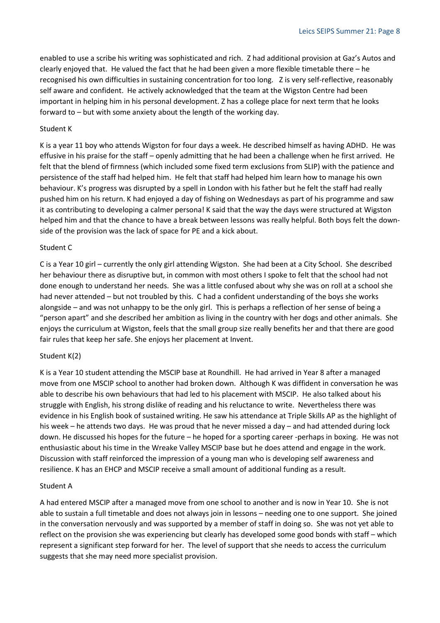enabled to use a scribe his writing was sophisticated and rich. Z had additional provision at Gaz's Autos and clearly enjoyed that. He valued the fact that he had been given a more flexible timetable there – he recognised his own difficulties in sustaining concentration for too long. Z is very self-reflective, reasonably self aware and confident. He actively acknowledged that the team at the Wigston Centre had been important in helping him in his personal development. Z has a college place for next term that he looks forward to – but with some anxiety about the length of the working day.

#### Student K

K is a year 11 boy who attends Wigston for four days a week. He described himself as having ADHD. He was effusive in his praise for the staff – openly admitting that he had been a challenge when he first arrived. He felt that the blend of firmness (which included some fixed term exclusions from SLIP) with the patience and persistence of the staff had helped him. He felt that staff had helped him learn how to manage his own behaviour. K's progress was disrupted by a spell in London with his father but he felt the staff had really pushed him on his return. K had enjoyed a day of fishing on Wednesdays as part of his programme and saw it as contributing to developing a calmer persona! K said that the way the days were structured at Wigston helped him and that the chance to have a break between lessons was really helpful. Both boys felt the downside of the provision was the lack of space for PE and a kick about.

#### Student C

C is a Year 10 girl – currently the only girl attending Wigston. She had been at a City School. She described her behaviour there as disruptive but, in common with most others I spoke to felt that the school had not done enough to understand her needs. She was a little confused about why she was on roll at a school she had never attended – but not troubled by this. C had a confident understanding of the boys she works alongside – and was not unhappy to be the only girl. This is perhaps a reflection of her sense of being a "person apart" and she described her ambition as living in the country with her dogs and other animals. She enjoys the curriculum at Wigston, feels that the small group size really benefits her and that there are good fair rules that keep her safe. She enjoys her placement at Invent.

#### Student K(2)

K is a Year 10 student attending the MSCIP base at Roundhill. He had arrived in Year 8 after a managed move from one MSCIP school to another had broken down. Although K was diffident in conversation he was able to describe his own behaviours that had led to his placement with MSCIP. He also talked about his struggle with English, his strong dislike of reading and his reluctance to write. Nevertheless there was evidence in his English book of sustained writing. He saw his attendance at Triple Skills AP as the highlight of his week – he attends two days. He was proud that he never missed a day – and had attended during lock down. He discussed his hopes for the future – he hoped for a sporting career -perhaps in boxing. He was not enthusiastic about his time in the Wreake Valley MSCIP base but he does attend and engage in the work. Discussion with staff reinforced the impression of a young man who is developing self awareness and resilience. K has an EHCP and MSCIP receive a small amount of additional funding as a result.

#### Student A

A had entered MSCIP after a managed move from one school to another and is now in Year 10. She is not able to sustain a full timetable and does not always join in lessons – needing one to one support. She joined in the conversation nervously and was supported by a member of staff in doing so. She was not yet able to reflect on the provision she was experiencing but clearly has developed some good bonds with staff – which represent a significant step forward for her. The level of support that she needs to access the curriculum suggests that she may need more specialist provision.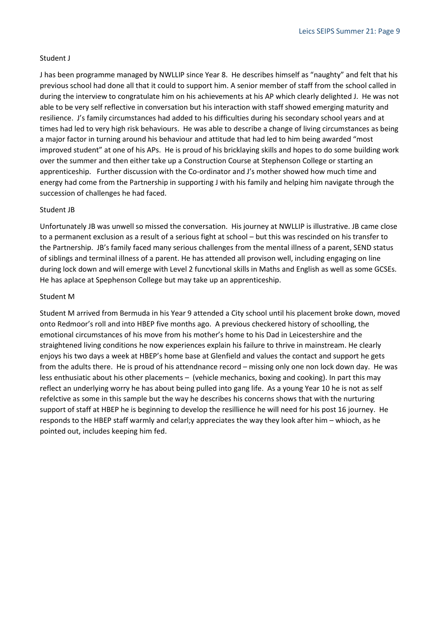#### Student J

J has been programme managed by NWLLIP since Year 8. He describes himself as "naughty" and felt that his previous school had done all that it could to support him. A senior member of staff from the school called in during the interview to congratulate him on his achievements at his AP which clearly delighted J. He was not able to be very self reflective in conversation but his interaction with staff showed emerging maturity and resilience. J's family circumstances had added to his difficulties during his secondary school years and at times had led to very high risk behaviours. He was able to describe a change of living circumstances as being a major factor in turning around his behaviour and attitude that had led to him being awarded "most improved student" at one of his APs. He is proud of his bricklaying skills and hopes to do some building work over the summer and then either take up a Construction Course at Stephenson College or starting an apprenticeship. Further discussion with the Co-ordinator and J's mother showed how much time and energy had come from the Partnership in supporting J with his family and helping him navigate through the succession of challenges he had faced.

#### Student JB

Unfortunately JB was unwell so missed the conversation. His journey at NWLLIP is illustrative. JB came close to a permanent exclusion as a result of a serious fight at school – but this was rescinded on his transfer to the Partnership. JB's family faced many serious challenges from the mental illness of a parent, SEND status of siblings and terminal illness of a parent. He has attended all provison well, including engaging on line during lock down and will emerge with Level 2 funcvtional skills in Maths and English as well as some GCSEs. He has aplace at Spephenson College but may take up an apprenticeship.

#### Student M

Student M arrived from Bermuda in his Year 9 attended a City school until his placement broke down, moved onto Redmoor's roll and into HBEP five months ago. A previous checkered history of schoolling, the emotional circumstances of his move from his mother's home to his Dad in Leicestershire and the straightened living conditions he now experiences explain his failure to thrive in mainstream. He clearly enjoys his two days a week at HBEP's home base at Glenfield and values the contact and support he gets from the adults there. He is proud of his attendnance record – missing only one non lock down day. He was less enthusiatic about his other placements – (vehicle mechanics, boxing and cooking). In part this may reflect an underlying worry he has about being pulled into gang life. As a young Year 10 he is not as self refelctive as some in this sample but the way he describes his concerns shows that with the nurturing support of staff at HBEP he is beginning to develop the resillience he will need for his post 16 journey. He responds to the HBEP staff warmly and celarl;y appreciates the way they look after him – whioch, as he pointed out, includes keeping him fed.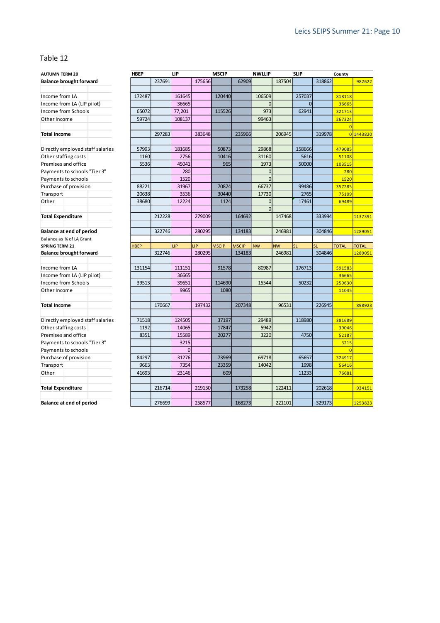| <b>AUTUMN TERM 20</b>            | <b>HBEP</b> |        | LIP        |        | <b>MSCIP</b> |              | <b>NWLLIP</b> |           | <b>SLIP</b> |        | County         |              |
|----------------------------------|-------------|--------|------------|--------|--------------|--------------|---------------|-----------|-------------|--------|----------------|--------------|
| <b>Balance brought forward</b>   |             | 237691 |            | 175656 |              | 62909        |               | 187504    |             | 318862 |                | 982622       |
|                                  |             |        |            |        |              |              |               |           |             |        |                |              |
| Income from LA                   | 172487      |        | 161645     |        | 120440       |              | 106509        |           | 257037      |        | 818118         |              |
| Income from LA (LIP pilot)       |             |        | 36665      |        |              |              | $\mathbf 0$   |           | $\Omega$    |        | 36665          |              |
| Income from Schools              | 65072       |        | 77,201     |        | 115526       |              | 973           |           | 62941       |        | 321713         |              |
| Other Income                     | 59724       |        | 108137     |        |              |              | 99463         |           |             |        | 267324         |              |
|                                  |             |        |            |        |              |              |               |           |             |        | $\overline{0}$ |              |
| <b>Total Income</b>              |             | 297283 |            | 383648 |              | 235966       |               | 206945    |             | 319978 |                | 0 1443820    |
|                                  |             |        |            |        |              |              |               |           |             |        |                |              |
| Directly employed staff salaries | 57993       |        | 181685     |        | 50873        |              | 29868         |           | 158666      |        | 479085         |              |
| Other staffing costs             | 1160        |        | 2756       |        | 10416        |              | 31160         |           | 5616        |        | 51108          |              |
| Premises and office              | 5536        |        | 45041      |        | 965          |              | 1973          |           | 50000       |        | 103515         |              |
| Payments to schools "Tier 3"     |             |        | 280        |        |              |              | $\mathbf 0$   |           |             |        | 280            |              |
| Payments to schools              |             |        | 1520       |        |              |              | $\Omega$      |           |             |        | 1520           |              |
| Purchase of provision            | 88221       |        | 31967      |        | 70874        |              | 66737         |           | 99486       |        | 357285         |              |
| Transport                        | 20638       |        | 3536       |        | 30440        |              | 17730         |           | 2765        |        | 75109          |              |
| Other                            | 38680       |        | 12224      |        | 1124         |              | $\mathbf 0$   |           | 17461       |        | 69489          |              |
|                                  |             |        |            |        |              |              | $\mathbf 0$   |           |             |        |                |              |
| <b>Total Expenditure</b>         |             | 212228 |            | 279009 |              | 164692       |               | 147468    |             | 333994 |                | 1137391      |
|                                  |             |        |            |        |              |              |               |           |             |        |                |              |
| <b>Balance at end of period</b>  |             | 322746 |            | 280295 |              | 134183       |               | 246981    |             | 304846 |                | 1289051      |
| Balance as % of LA Grant         |             |        |            |        |              |              |               |           |             |        |                |              |
| <b>SPRING TERM 21</b>            | <b>HBEP</b> |        | <b>LIP</b> | ЦP     | <b>MSCIP</b> | <b>MSCIP</b> | <b>NW</b>     | <b>NW</b> | <b>SL</b>   | SL.    | <b>TOTAL</b>   | <b>TOTAL</b> |
| <b>Balance brought forward</b>   |             | 322746 |            | 280295 |              | 134183       |               | 246981    |             | 304846 |                | 1289051      |
|                                  |             |        |            |        |              |              |               |           |             |        |                |              |
| Income from LA                   | 131154      |        | 111151     |        | 91578        |              | 80987         |           | 176713      |        | 591583         |              |
| Income from LA (LIP pilot)       |             |        | 36665      |        |              |              |               |           |             |        | 36665          |              |
| Income from Schools              | 39513       |        | 39651      |        | 114690       |              | 15544         |           | 50232       |        | 259630         |              |
| Other Income                     |             |        | 9965       |        | 1080         |              |               |           |             |        | 11045          |              |
|                                  |             |        |            |        |              |              |               |           |             |        |                |              |
| <b>Total Income</b>              |             | 170667 |            | 197432 |              | 207348       |               | 96531     |             | 226945 |                | 898923       |
|                                  |             |        |            |        |              |              |               |           |             |        |                |              |
| Directly employed staff salaries | 71518       |        | 124505     |        | 37197        |              | 29489         |           | 118980      |        | 381689         |              |
| Other staffing costs             | 1192        |        | 14065      |        | 17847        |              | 5942          |           |             |        | 39046          |              |
| Premises and office              | 8351        |        | 15589      |        | 20277        |              | 3220          |           | 4750        |        | 52187          |              |
| Payments to schools "Tier 3"     |             |        | 3215       |        |              |              |               |           |             |        | 3215           |              |
| Payments to schools              |             |        | $\Omega$   |        |              |              |               |           |             |        | $\overline{0}$ |              |
| Purchase of provision            | 84297       |        | 31276      |        | 73969        |              | 69718         |           | 65657       |        | 324917         |              |
| Transport                        | 9663        |        | 7354       |        | 23359        |              | 14042         |           | 1998        |        | 56416          |              |
| Other                            | 41693       |        | 23146      |        | 609          |              |               |           | 11233       |        | 76681          |              |
|                                  |             |        |            |        |              |              |               |           |             |        |                |              |
| <b>Total Expenditure</b>         |             | 216714 |            | 219150 |              | 173258       |               | 122411    |             | 202618 |                | 934151       |
|                                  |             |        |            |        |              |              |               |           |             |        |                |              |
| <b>Balance at end of period</b>  |             | 276699 |            | 258577 |              | 168273       |               | 221101    |             | 329173 |                | 1253823      |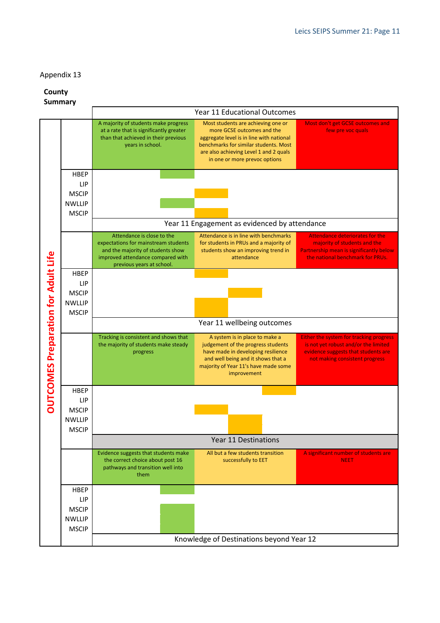#### Appendix 13

# **County**



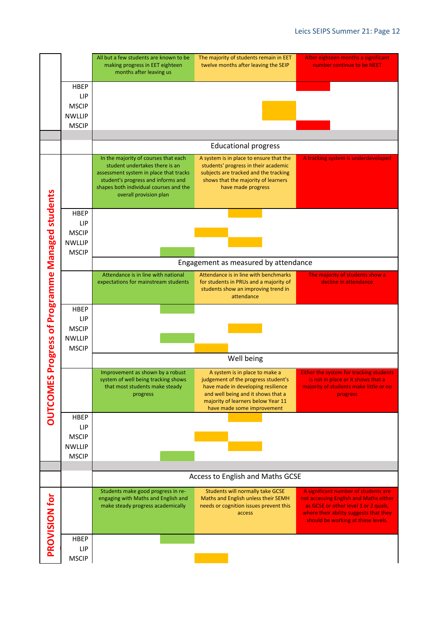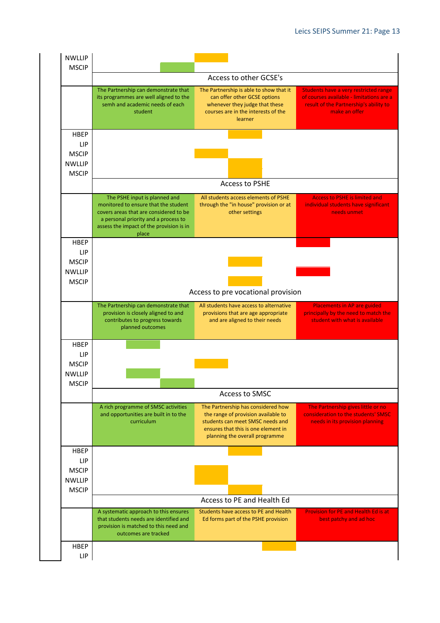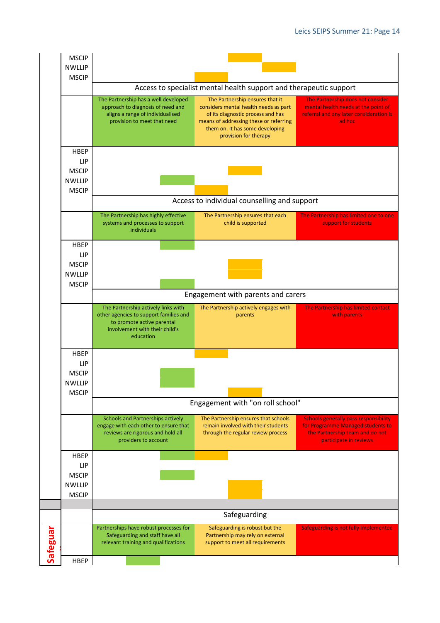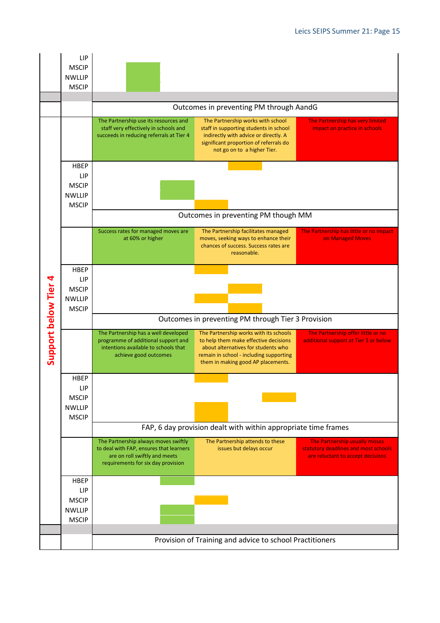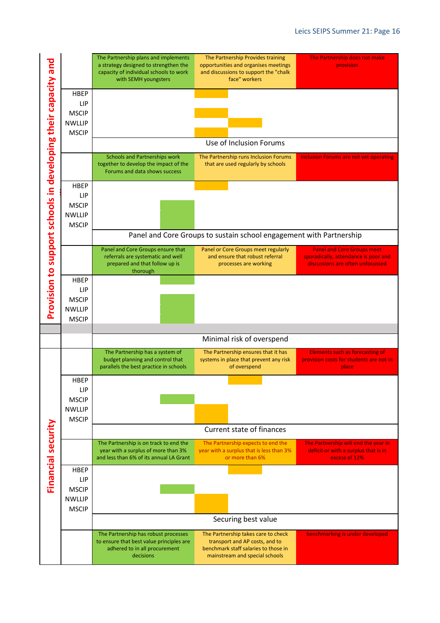